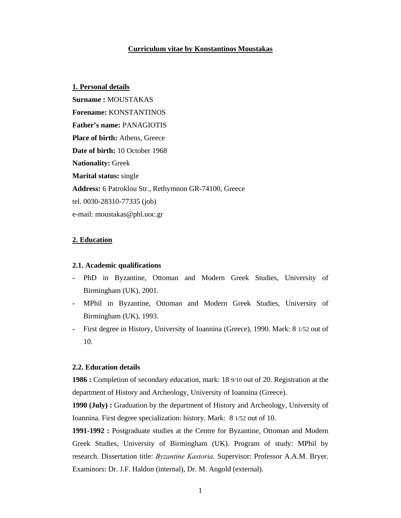## **Curriculum vitae by Konstantinos Moustakas**

**1. Personal details Surname :** MOUSTAKAS **Forename:** KONSTANTINOS **Father's name:** PANAGIOTIS **Place of birth:** Athens, Greece **Date of birth:** 10 October 1968 **Nationality:** Greek **Marital status:** single **Address:** 6 Patroklou Str., Rethymnon GR-74100, Greece tel. 0030-28310-77335 (job) e-mail: moustakas@phl.uoc.gr

## **2. Education**

#### **2.1. Academic qualifications**

- **-** PhD in Byzantine, Ottoman and Modern Greek Studies, University of Birmingham (UK), 2001.
- **-** MPhil in Byzantine, Ottoman and Modern Greek Studies, University of Birmingham (UK), 1993.
- **-** First degree in History, University of Ioannina (Greece), 1990. Mark: 8 1/52 out of 10.

## **2.2. Education details**

**1986 :** Completion of secondary education, mark: 18 9/10 out of 20. Registration at the department of History and Archeology, University of Ioannina (Greece).

**1990 (July) :** Graduation by the department of History and Archeology, University of Ioannina. First degree specialization: history. Mark: 8 1/52 out of 10.

**1991-1992 :** Postgraduate studies at the Centre for Byzantine, Ottoman and Modern Greek Studies, University of Birmingham (UK). Program of study: MPhil by research. Dissertation title: *Byzantine Kastoria*. Supervisor: Professor A.A.M. Bryer. Examinors: Dr. J.F. Haldon (internal), Dr. M. Angold (external).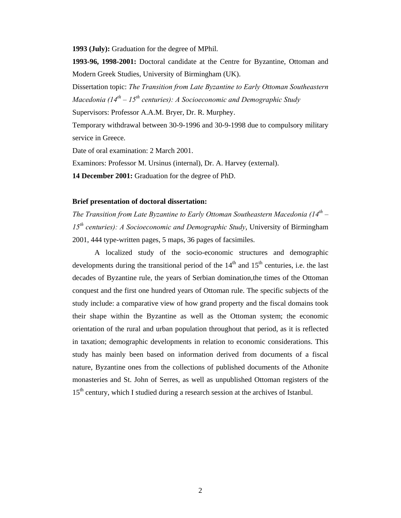**1993 (July):** Graduation for the degree of MPhil.

**1993-96, 1998-2001:** Doctoral candidate at the Centre for Byzantine, Ottoman and Modern Greek Studies, University of Birmingham (UK).

Dissertation topic: *The Transition from Late Byzantine to Early Ottoman Southeastern Macedonia (14th – 15th centuries): A Socioeconomic and Demographic Study*

Supervisors: Professor A.A.M. Bryer, Dr. R. Murphey.

Temporary withdrawal between 30-9-1996 and 30-9-1998 due to compulsory military service in Greece.

Date of oral examination: 2 March 2001.

Examinors: Professor M. Ursinus (internal), Dr. A. Harvey (external).

**14 December 2001:** Graduation for the degree of PhD.

## **Brief presentation of doctoral dissertation:**

*The Transition from Late Byzantine to Early Ottoman Southeastern Macedonia (14th – 15th centuries): A Socioeconomic and Demographic Study*, University of Birmingham 2001, 444 type-written pages, 5 maps, 36 pages of facsimiles.

A localized study of the socio-economic structures and demographic developments during the transitional period of the  $14<sup>th</sup>$  and  $15<sup>th</sup>$  centuries, i.e. the last decades of Byzantine rule, the years of Serbian domination,the times of the Ottoman conquest and the first one hundred years of Ottoman rule. The specific subjects of the study include: a comparative view of how grand property and the fiscal domains took their shape within the Byzantine as well as the Ottoman system; the economic orientation of the rural and urban population throughout that period, as it is reflected in taxation; demographic developments in relation to economic considerations. This study has mainly been based on information derived from documents of a fiscal nature, Byzantine ones from the collections of published documents of the Athonite monasteries and St. John of Serres, as well as unpublished Ottoman registers of the 15<sup>th</sup> century, which I studied during a research session at the archives of Istanbul.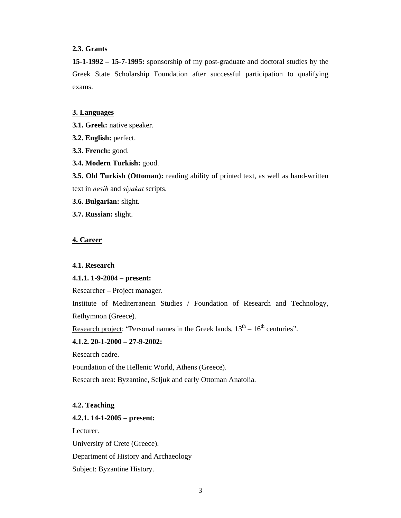# **2.3. Grants**

**15-1-1992 – 15-7-1995:** sponsorship of my post-graduate and doctoral studies by the Greek State Scholarship Foundation after successful participation to qualifying exams.

#### **3. Languages**

- **3.1. Greek:** native speaker.
- **3.2. English:** perfect.
- **3.3. French:** good.
- **3.4. Modern Turkish:** good.

**3.5. Old Turkish (Ottoman):** reading ability of printed text, as well as hand-written text in *nesih* and *siyakat* scripts.

- **3.6. Bulgarian:** slight.
- **3.7. Russian:** slight.

## **4. Career**

#### **4.1. Research**

## **4.1.1. 1-9-2004 – present:**

Researcher – Project manager.

Institute of Mediterranean Studies / Foundation of Research and Technology, Rethymnon (Greece).

Research project: "Personal names in the Greek lands,  $13<sup>th</sup> - 16<sup>th</sup>$  centuries".

# **4.1.2. 20-1-2000 – 27-9-2002:**

Research cadre.

Foundation of the Hellenic World, Athens (Greece).

Research area: Byzantine, Seljuk and early Ottoman Anatolia.

## **4.2. Teaching**

#### **4.2.1. 14-1-2005 – present:**

Lecturer.

University of Crete (Greece).

Department of History and Archaeology

Subject: Byzantine History.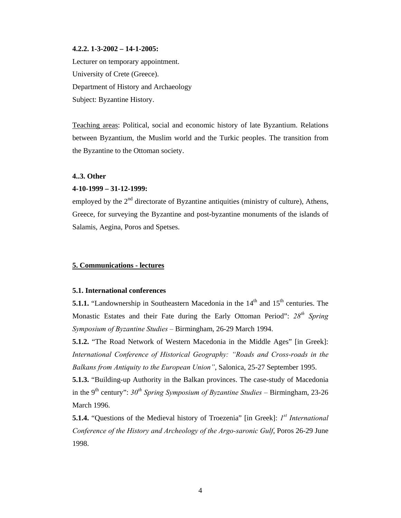#### **4.2.2. 1-3-2002 – 14-1-2005:**

Lecturer on temporary appointment. University of Crete (Greece). Department of History and Archaeology Subject: Byzantine History.

Teaching areas: Political, social and economic history of late Byzantium. Relations between Byzantium, the Muslim world and the Turkic peoples. The transition from the Byzantine to the Ottoman society.

# **4..3. Other**

#### **4-10-1999 – 31-12-1999:**

employed by the  $2<sup>nd</sup>$  directorate of Byzantine antiquities (ministry of culture), Athens, Greece, for surveying the Byzantine and post-byzantine monuments of the islands of Salamis, Aegina, Poros and Spetses.

## **5. Communications - lectures**

# **5.1. International conferences**

**5.1.1.** "Landownership in Southeastern Macedonia in the  $14<sup>th</sup>$  and  $15<sup>th</sup>$  centuries. The Monastic Estates and their Fate during the Early Ottoman Period": *28th Spring Symposium of Byzantine Studies –* Birmingham, 26-29 March 1994.

**5.1.2.** "The Road Network of Western Macedonia in the Middle Ages" [in Greek]: *International Conference of Historical Geography: "Roads and Cross-roads in the Balkans from Antiquity to the European Union"*, Salonica, 25-27 September 1995.

**5.1.3.** "Building-up Authority in the Balkan provinces. The case-study of Macedonia in the 9<sup>th</sup> century":  $30^{th}$  Spring Symposium of Byzantine Studies – Birmingham, 23-26 March 1996.

**5.1.4.** "Questions of the Medieval history of Troezenia" [in Greek]: *1st International Conference of the History and Archeology of the Argo-saronic Gulf*, Poros 26-29 June 1998.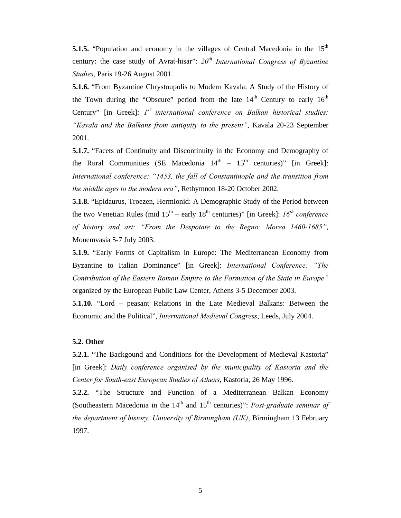**5.1.5.** "Population and economy in the villages of Central Macedonia in the 15<sup>th</sup> century: the case study of Avrat-hisar":  $20<sup>th</sup> International Congress of Byzantine$ *Studies*, Paris 19-26 August 2001.

**5.1.6.** "From Byzantine Chrystoupolis to Modern Kavala: A Study of the History of the Town during the "Obscure" period from the late  $14<sup>th</sup>$  Century to early  $16<sup>th</sup>$ Century" [in Greek]: *1st international conference on Balkan historical studies: "Kavala and the Balkans from antiquity to the present"*, Kavala 20-23 September 2001.

**5.1.7.** "Facets of Continuity and Discontinuity in the Economy and Demography of the Rural Communities (SE Macedonia  $14<sup>th</sup> - 15<sup>th</sup>$  centuries)" [in Greek]: *International conference: "1453, the fall of Constantinople and the transition from the middle ages to the modern era"*, Rethymnon 18-20 October 2002.

**5.1.8.** "Epidaurus, Troezen, Hermionid: A Demographic Study of the Period between the two Venetian Rules (mid  $15<sup>th</sup>$  – early  $18<sup>th</sup>$  centuries)" [in Greek]:  $16<sup>th</sup>$  conference *of history and art: "From the Despotate to the Regno: Morea 1460-1685"*, Monemvasia 5-7 July 2003.

**5.1.9.** "Early Forms of Capitalism in Europe: The Mediterranean Economy from Byzantine to Italian Dominance" [in Greek]: *International Conference: "The Contribution of the Eastern Roman Empire to the Formation of the State in Europe"* organized by the European Public Law Center, Athens 3-5 December 2003.

**5.1.10.** "Lord – peasant Relations in the Late Medieval Balkans: Between the Economic and the Political", *International Medieval Congress*, Leeds, July 2004.

## **5.2. Other**

**5.2.1.** "The Backgound and Conditions for the Development of Medieval Kastoria" [in Greek]: *Daily conference organised by the municipality of Kastoria and the Center for South-east European Studies of Athens*, Kastoria, 26 May 1996.

**5.2.2.** "The Structure and Function of a Mediterranean Balkan Economy (Southeastern Macedonia in the  $14<sup>th</sup>$  and  $15<sup>th</sup>$  centuries)": *Post-graduate seminar of the department of history, University of Birmingham (UK)*, Birmingham 13 February 1997.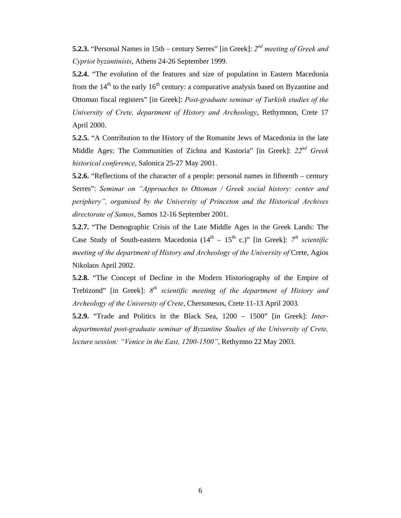**5.2.3.** "Personal Names in 15th – century Serres" [in Greek]: *2nd meeting of Greek and Cypriot byzantinists*, Athens 24-26 September 1999.

**5.2.4.** "The evolution of the features and size of population in Eastern Macedonia from the  $14<sup>th</sup>$  to the early  $16<sup>th</sup>$  century: a comparative analysis based on Byzantine and Ottoman fiscal registers" [in Greek]: *Post-graduate seminar of Turkish studies of the University of Crete, department of History and Archeology*, Rethymnon, Crete 17 April 2000.

**5.2.5.** "A Contribution to the History of the Romanite Jews of Macedonia in the late Middle Ages: The Communities of Zichna and Kastoria" [in Greek]: *22nd Greek historical conference*, Salonica 25-27 May 2001.

**5.2.6.** "Reflections of the character of a people: personal names in fifteenth – century Serres": *Seminar on "Approaches to Ottoman / Greek social history: center and periphery", organised by the University of Princeton and the Historical Archives directorate of Samos*, Samos 12-16 September 2001.

**5.2.7.** "The Demographic Crisis of the Late Middle Ages in the Greek Lands: The Case Study of South-eastern Macedonia  $(14<sup>th</sup> - 15<sup>th</sup> c.)$ " [in Greek]:  $7<sup>th</sup> scientific$ *meeting of the department of History and Archeology of the University of Crete, Agios* Nikolaos April 2002.

**5.2.8.** "The Concept of Decline in the Modern Historiography of the Empire of Trebizond" [in Greek]: *8th scientific meeting of the department of History and Archeology of the University of Crete*, Chersonesos, Crete 11-13 April 2003.

**5.2.9.** "Trade and Politics in the Black Sea, 1200 – 1500" [in Greek]: *Interdepartmental post-graduate seminar of Byzantine Studies of the University of Crete, lecture session: "Venice in the East, 1200-1500"*, Rethymno 22 May 2003.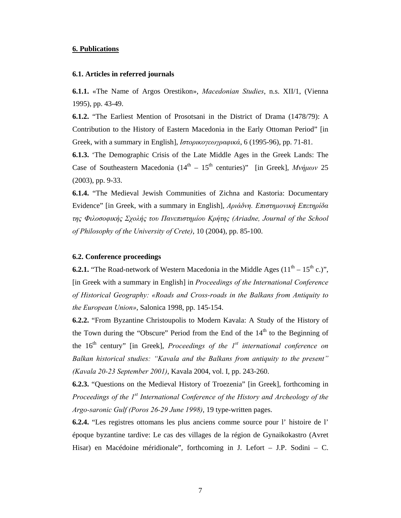## **6. Publications**

#### **6.1. Articles in referred journals**

**6.1.1.** «The Name of Argos Orestikon», *Macedonian Studies*, n.s. XII/1, (Vienna 1995), pp. 43-49.

**6.1.2.** "The Earliest Mention of Prosotsani in the District of Drama (1478/79): A Contribution to the History of Eastern Macedonia in the Early Ottoman Period" [in Greek, with a summary in English], *Ιστορικογεωγραφικά*, 6 (1995-96), pp. 71-81.

**6.1.3.** 'The Demographic Crisis of the Late Middle Ages in the Greek Lands: The Case of Southeastern Macedonia (14<sup>th</sup> – 15<sup>th</sup> centuries)" [in Greek], *Μνήμων* 25 (2003), pp. 9-33.

**6.1.4.** "The Medieval Jewish Communities of Zichna and Kastoria: Documentary Evidence" [in Greek, with a summary in English], *Αριάδνη. Επιστηµονική Επετηρίδα της Φιλοσοφικής Σχολής του Πανεπιστηµίου Κρήτης (Ariadne, Journal of the School of Philosophy of the University of Crete)*, 10 (2004), pp. 85-100.

# **6.2. Conference proceedings**

**6.2.1.** "The Road-network of Western Macedonia in the Middle Ages  $(11<sup>th</sup> - 15<sup>th</sup> c.)$ ", [in Greek with a summary in English] in *Proceedings of the International Conference of Historical Geography: «Roads and Cross-roads in the Balkans from Antiquity to the European Union»*, Salonica 1998, pp. 145-154.

**6.2.2.** "From Byzantine Christoupolis to Modern Kavala: A Study of the History of the Town during the "Obscure" Period from the End of the  $14<sup>th</sup>$  to the Beginning of the  $16<sup>th</sup>$  century" [in Greek], *Proceedings of the*  $1<sup>st</sup>$  *international conference on Balkan historical studies: "Kavala and the Balkans from antiquity to the present" (Kavala 20-23 September 2001)*, Kavala 2004, vol. I, pp. 243-260.

**6.2.3.** "Questions on the Medieval History of Troezenia" [in Greek], forthcoming in *Proceedings of the 1<sup>st</sup> International Conference of the History and Archeology of the Argo-saronic Gulf (Poros 26-29 June 1998)*, 19 type-written pages.

**6.2.4.** "Les registres ottomans les plus anciens comme source pour l' histoire de l' époque byzantine tardive: Le cas des villages de la région de Gynaikokastro (Avret Hisar) en Macédoine méridionale", forthcoming in J. Lefort – J.P. Sodini – C.